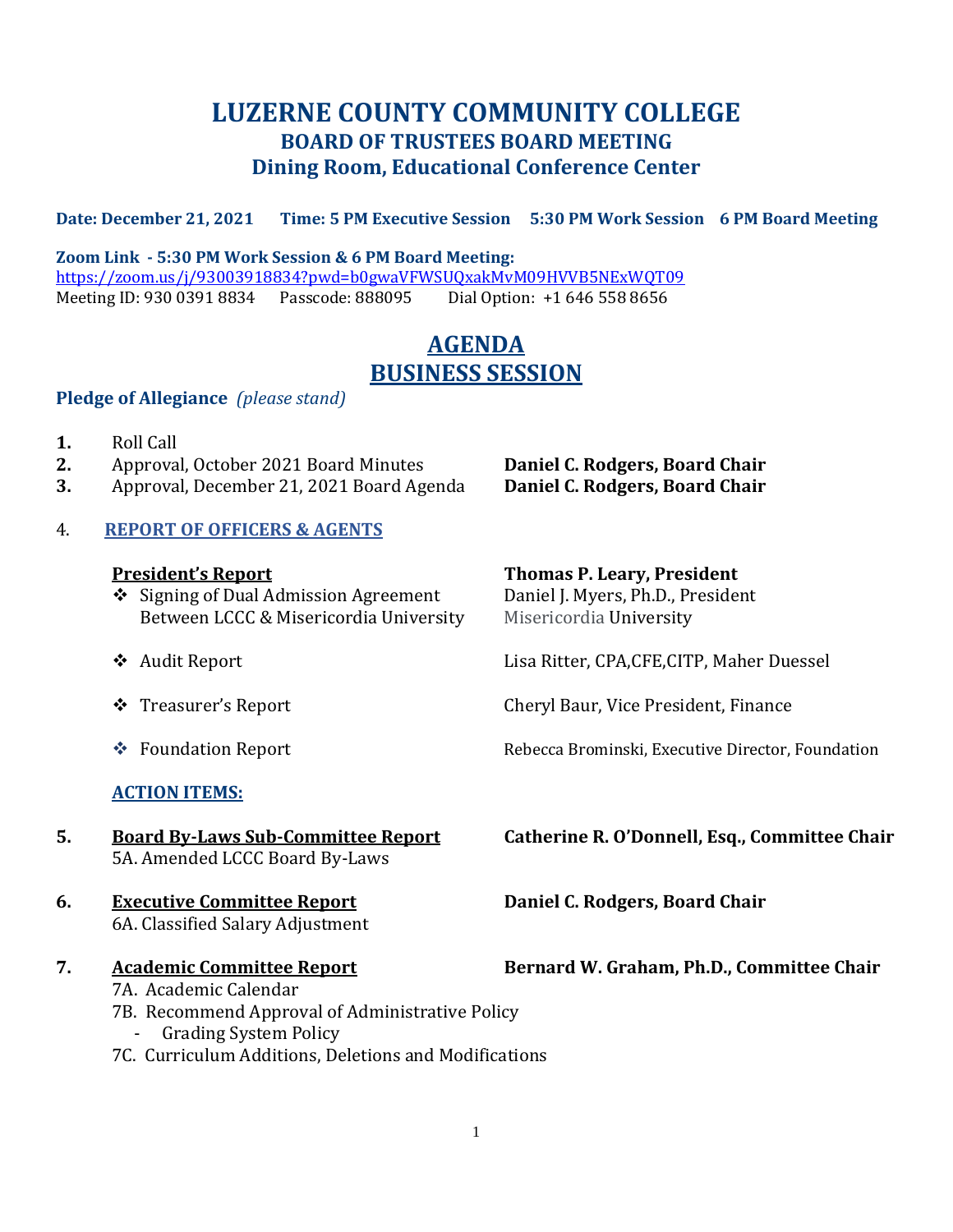## **LUZERNE COUNTY COMMUNITY COLLEGE BOARD OF TRUSTEES BOARD MEETING Dining Room, Educational Conference Center**

#### **Date: December 21, 2021 Time: 5 PM Executive Session 5:30 PM Work Session 6 PM Board Meeting**

**Zoom Link - 5:30 PM Work Session & 6 PM Board Meeting:** <https://zoom.us/j/93003918834?pwd=b0gwaVFWSUQxakMvM09HVVB5NExWQT09> Meeting ID: 930 0391 8834 Passcode: 888095 Dial Option: +1 646 558 8656

# **AGENDA BUSINESS SESSION**

#### **Pledge of Allegiance** *(please stand)*

- **1.** Roll Call
- **2.** Approval, October 2021 Board Minutes **Daniel C. Rodgers, Board Chair**
- **3.** Approval, December 21, 2021 Board Agenda **Daniel C. Rodgers, Board Chair**

#### 4. **REPORT OF OFFICERS & AGENTS**

- ❖ Signing of Dual Admission Agreement Daniel J. Myers, Ph.D., President Between LCCC & Misericordia University Misericordia University
- 
- 
- 

#### **ACTION ITEMS:**

5A. Amended LCCC Board By-Laws

#### **6. Executive Committee Report Daniel C. Rodgers, Board Chair** 6A. Classified Salary Adjustment

- - 7A. Academic Calendar
	- 7B. Recommend Approval of Administrative Policy
		- Grading System Policy
	- 7C. Curriculum Additions, Deletions and Modifications

# **President's Report Thomas P. Leary, President**

❖ Audit Report Lisa Ritter, CPA,CFE,CITP, Maher Duessel

❖ Treasurer's Report Cheryl Baur, Vice President, Finance

❖ Foundation Report Rebecca Brominski, Executive Director, Foundation

**5. Board By-Laws Sub-Committee Report Catherine R. O'Donnell, Esq., Committee Chair**

#### **7. Academic Committee Report Bernard W. Graham, Ph.D., Committee Chair**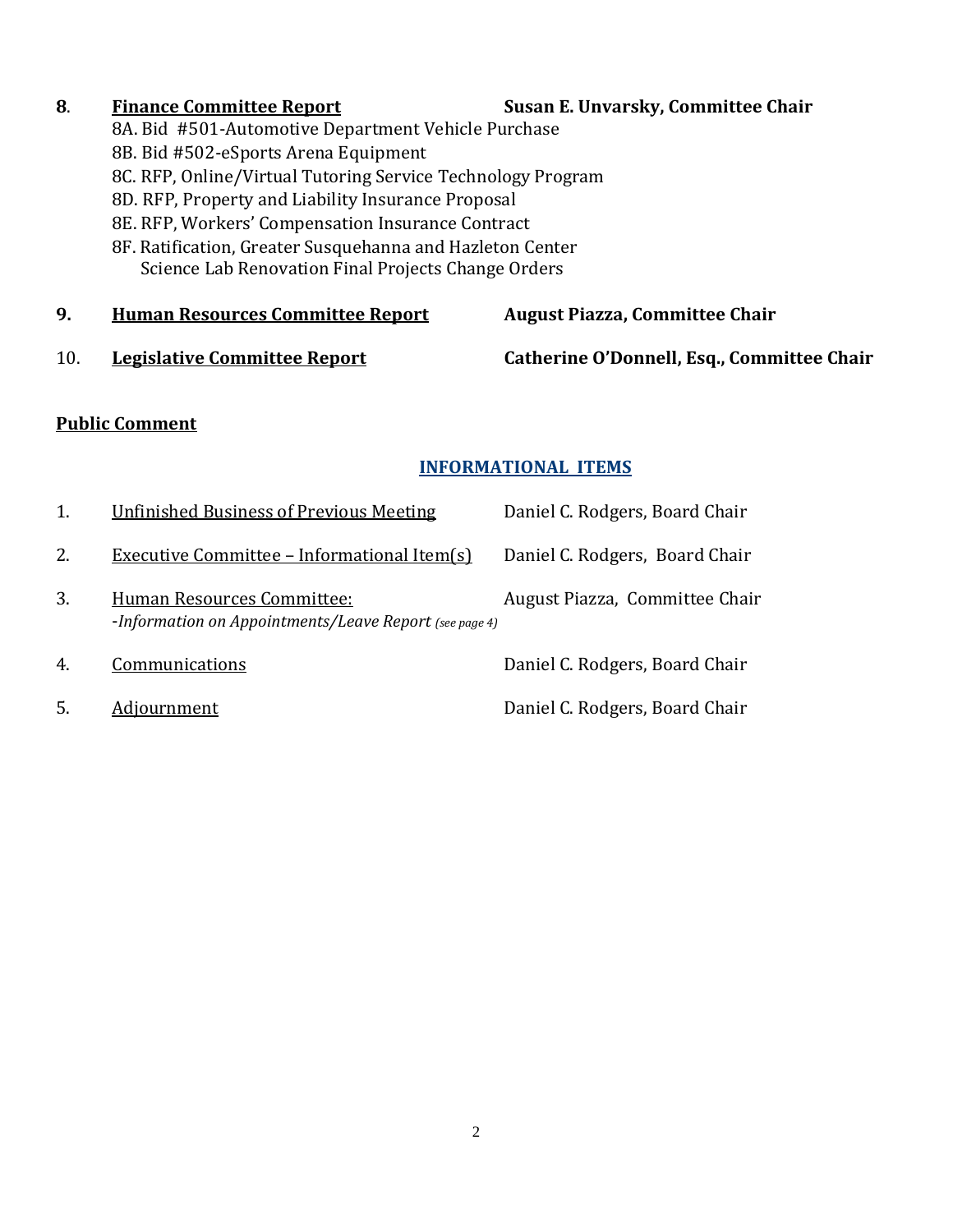- **8**. **Finance Committee Report Susan E. Unvarsky, Committee Chair**
	- 8A. Bid #501-Automotive Department Vehicle Purchase
	- 8B. Bid #502-eSports Arena Equipment
	- 8C. RFP, Online/Virtual Tutoring Service Technology Program
	- 8D. RFP, Property and Liability Insurance Proposal
	- 8E. RFP, Workers' Compensation Insurance Contract
	- 8F. Ratification, Greater Susquehanna and Hazleton Center Science Lab Renovation Final Projects Change Orders
- **9. Human Resources Committee Report August Piazza, Committee Chair**
- 

10. **Legislative Committee Report Catherine O'Donnell, Esq., Committee Chair**

#### **Public Comment**

## **INFORMATIONAL ITEMS**

| 1. | <b>Unfinished Business of Previous Meeting</b>                                       | Daniel C. Rodgers, Board Chair |
|----|--------------------------------------------------------------------------------------|--------------------------------|
| 2. | <b>Executive Committee - Informational Item(s)</b>                                   | Daniel C. Rodgers, Board Chair |
| 3. | Human Resources Committee:<br>-Information on Appointments/Leave Report (see page 4) | August Piazza, Committee Chair |
| 4. | Communications                                                                       | Daniel C. Rodgers, Board Chair |
| 5. | Adjournment                                                                          | Daniel C. Rodgers, Board Chair |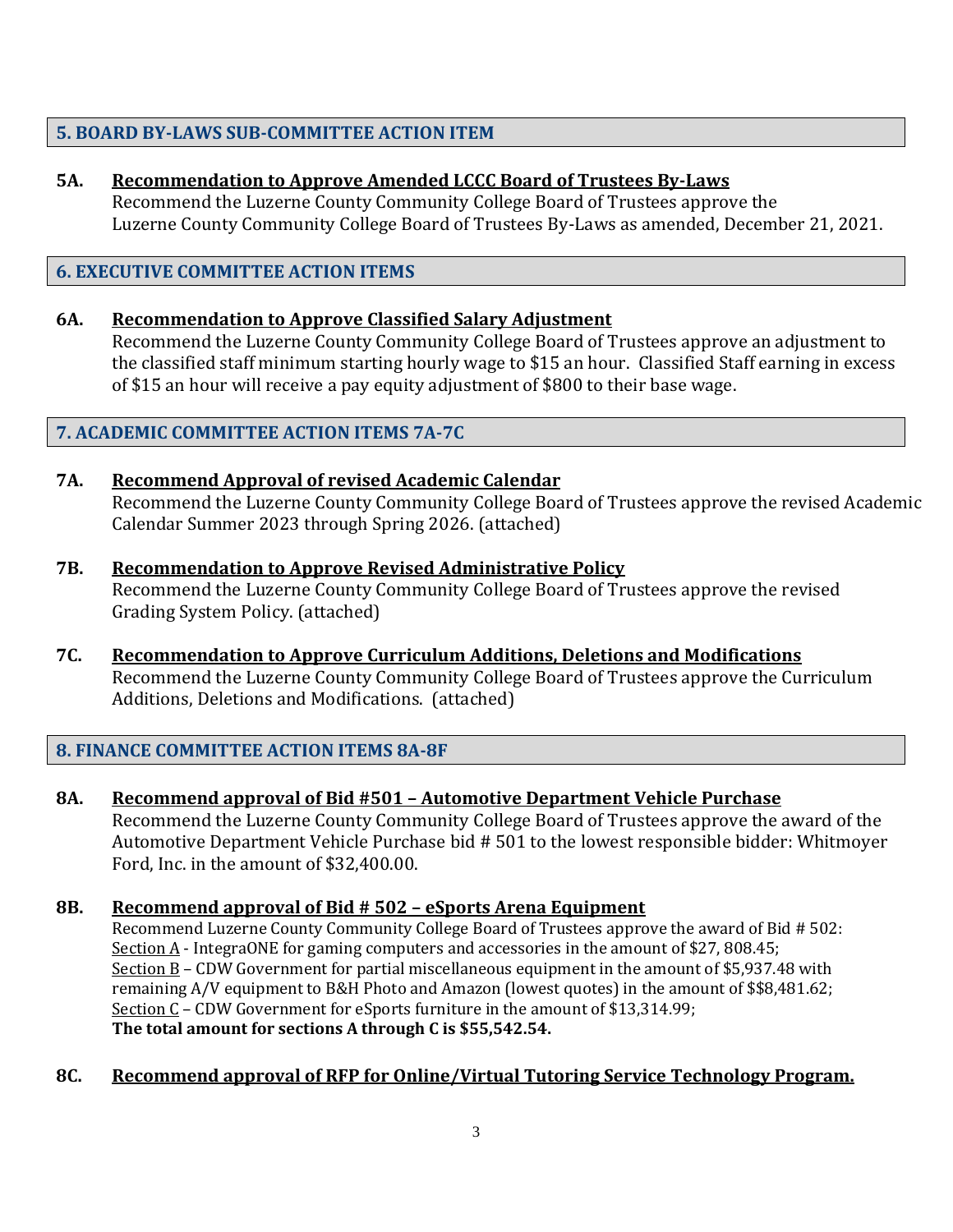#### **5. BOARD BY-LAWS SUB-COMMITTEE ACTION ITEM**

#### **5A. Recommendation to Approve Amended LCCC Board of Trustees By-Laws**

Recommend the Luzerne County Community College Board of Trustees approve the Luzerne County Community College Board of Trustees By-Laws as amended, December 21, 2021.

#### **6. EXECUTIVE COMMITTEE ACTION ITEMS**

#### **6A. Recommendation to Approve Classified Salary Adjustment**

Recommend the Luzerne County Community College Board of Trustees approve an adjustment to the classified staff minimum starting hourly wage to \$15 an hour. Classified Staff earning in excess of \$15 an hour will receive a pay equity adjustment of \$800 to their base wage.

#### **7. ACADEMIC COMMITTEE ACTION ITEMS 7A-7C**

#### **7A. Recommend Approval of revised Academic Calendar** Recommend the Luzerne County Community College Board of Trustees approve the revised Academic Calendar Summer 2023 through Spring 2026. (attached)

**7B. Recommendation to Approve Revised Administrative Policy** Recommend the Luzerne County Community College Board of Trustees approve the revised Grading System Policy. (attached)

#### **7C. Recommendation to Approve Curriculum Additions, Deletions and Modifications** Recommend the Luzerne County Community College Board of Trustees approve the Curriculum Additions, Deletions and Modifications. (attached)

## **8. FINANCE COMMITTEE ACTION ITEMS 8A-8F**

**8A. Recommend approval of Bid #501 – Automotive Department Vehicle Purchase** Recommend the Luzerne County Community College Board of Trustees approve the award of the Automotive Department Vehicle Purchase bid # 501 to the lowest responsible bidder: Whitmoyer Ford, Inc. in the amount of \$32,400.00.

#### **8B. Recommend approval of Bid # 502 – eSports Arena Equipment**

Recommend Luzerne County Community College Board of Trustees approve the award of Bid # 502: Section A - IntegraONE for gaming computers and accessories in the amount of \$27, 808.45; Section B – CDW Government for partial miscellaneous equipment in the amount of \$5,937.48 with remaining A/V equipment to B&H Photo and Amazon (lowest quotes) in the amount of \$\$8,481.62; Section  $C$  – CDW Government for eSports furniture in the amount of \$13,314.99; **The total amount for sections A through C is \$55,542.54.**

#### **8C. Recommend approval of RFP for Online/Virtual Tutoring Service Technology Program.**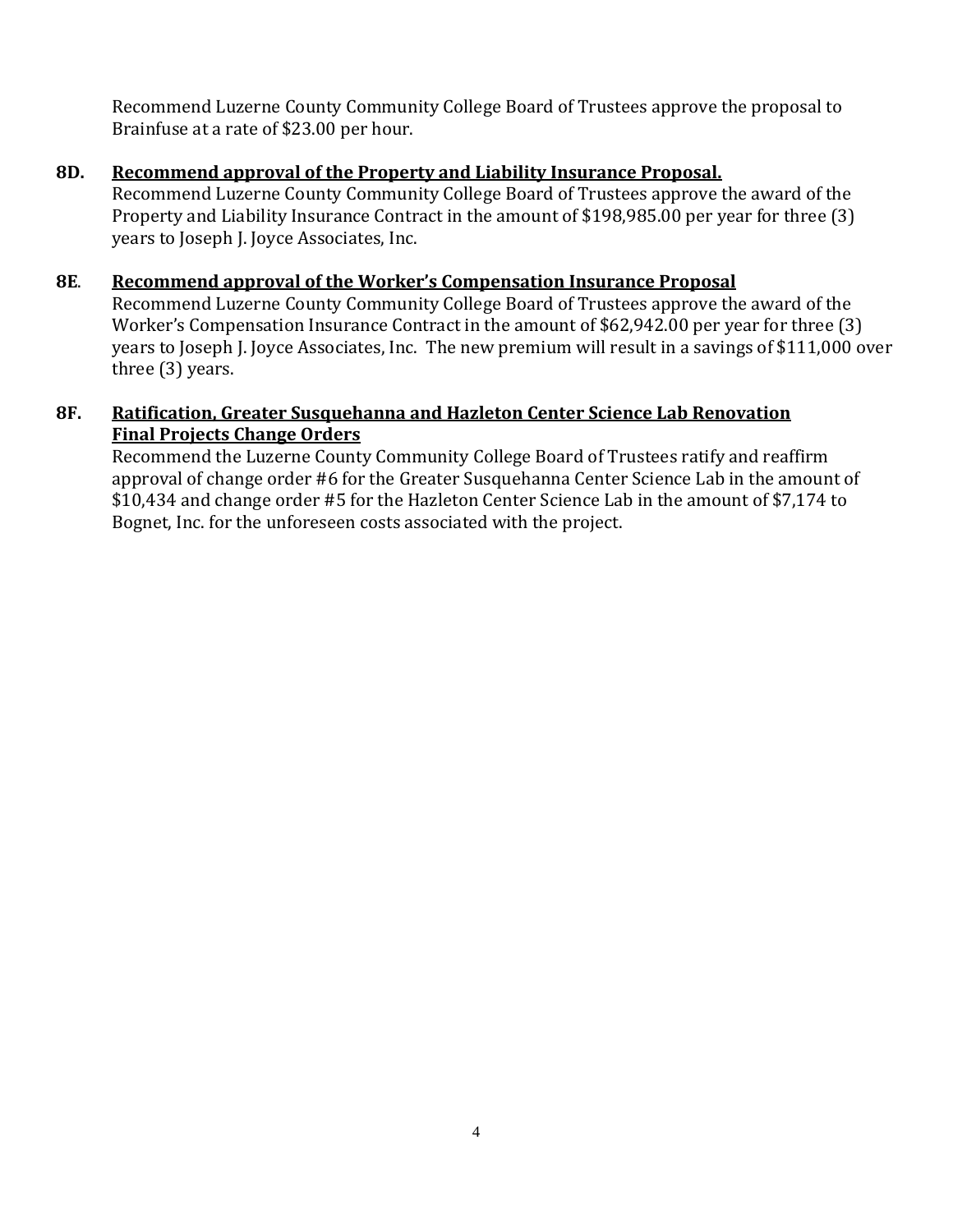Recommend Luzerne County Community College Board of Trustees approve the proposal to Brainfuse at a rate of \$23.00 per hour.

## **8D. Recommend approval of the Property and Liability Insurance Proposal.**

Recommend Luzerne County Community College Board of Trustees approve the award of the Property and Liability Insurance Contract in the amount of \$198,985.00 per year for three (3) years to Joseph J. Joyce Associates, Inc.

#### **8E**. **Recommend approval of the Worker's Compensation Insurance Proposal**

Recommend Luzerne County Community College Board of Trustees approve the award of the Worker's Compensation Insurance Contract in the amount of \$62,942.00 per year for three (3) years to Joseph J. Joyce Associates, Inc. The new premium will result in a savings of \$111,000 over three (3) years.

#### **8F. Ratification, Greater Susquehanna and Hazleton Center Science Lab Renovation Final Projects Change Orders**

Recommend the Luzerne County Community College Board of Trustees ratify and reaffirm approval of change order #6 for the Greater Susquehanna Center Science Lab in the amount of \$10,434 and change order #5 for the Hazleton Center Science Lab in the amount of \$7,174 to Bognet, Inc. for the unforeseen costs associated with the project.